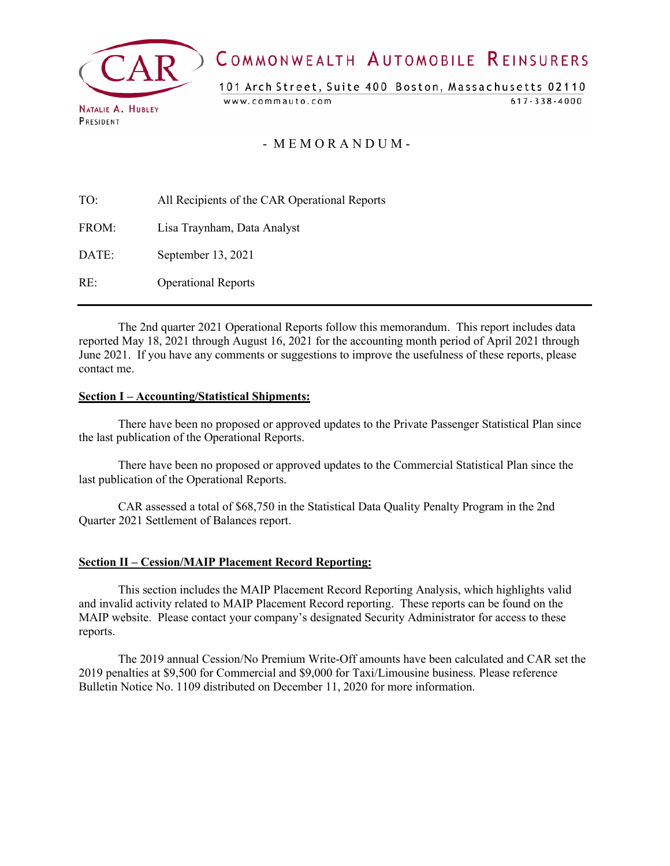

# COMMONWEALTH AUTOMOBILE REINSURERS

101 Arch Street, Suite 400 Boston, Massachusetts 02110

www.commauto.com

 $617 - 338 - 4000$ 

- M E M O R A N D U M -

| TO:   | All Recipients of the CAR Operational Reports |
|-------|-----------------------------------------------|
| FROM: | Lisa Traynham, Data Analyst                   |
| DATE: | September 13, 2021                            |
| RE:   | <b>Operational Reports</b>                    |

The 2nd quarter 2021 Operational Reports follow this memorandum. This report includes data reported May 18, 2021 through August 16, 2021 for the accounting month period of April 2021 through June 2021. If you have any comments or suggestions to improve the usefulness of these reports, please contact me.

#### **Section I – Accounting/Statistical Shipments:**

There have been no proposed or approved updates to the Private Passenger Statistical Plan since the last publication of the Operational Reports.

There have been no proposed or approved updates to the Commercial Statistical Plan since the last publication of the Operational Reports.

CAR assessed a total of \$68,750 in the Statistical Data Quality Penalty Program in the 2nd Quarter 2021 Settlement of Balances report.

#### **Section II – Cession/MAIP Placement Record Reporting:**

This section includes the MAIP Placement Record Reporting Analysis, which highlights valid and invalid activity related to MAIP Placement Record reporting. These reports can be found on the MAIP website. Please contact your company's designated Security Administrator for access to these reports.

The 2019 annual Cession/No Premium Write-Off amounts have been calculated and CAR set the 2019 penalties at \$9,500 for Commercial and \$9,000 for Taxi/Limousine business. Please reference Bulletin Notice No. 1109 distributed on December 11, 2020 for more information.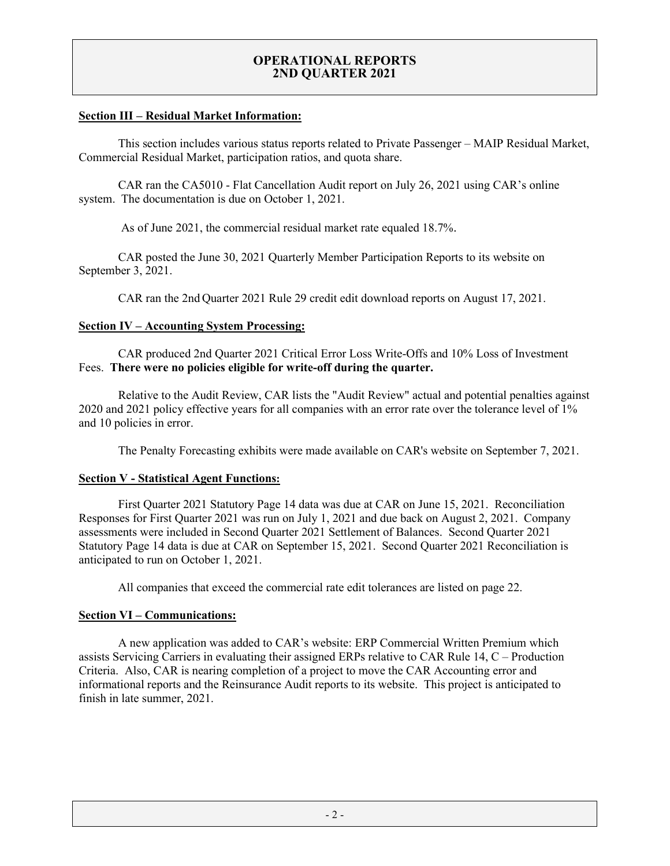#### **Section III – Residual Market Information:**

This section includes various status reports related to Private Passenger – MAIP Residual Market, Commercial Residual Market, participation ratios, and quota share.

CAR ran the CA5010 - Flat Cancellation Audit report on July 26, 2021 using CAR's online system. The documentation is due on October 1, 2021.

As of June 2021, the commercial residual market rate equaled 18.7%.

CAR posted the June 30, 2021 Quarterly Member Participation Reports to its website on September 3, 2021.

CAR ran the 2nd Quarter 2021 Rule 29 credit edit download reports on August 17, 2021.

#### **Section IV – Accounting System Processing:**

CAR produced 2nd Quarter 2021 Critical Error Loss Write-Offs and 10% Loss of Investment Fees. **There were no policies eligible for write-off during the quarter.**

Relative to the Audit Review, CAR lists the "Audit Review" actual and potential penalties against 2020 and 2021 policy effective years for all companies with an error rate over the tolerance level of 1% and 10 policies in error.

The Penalty Forecasting exhibits were made available on CAR's website on September 7, 2021.

#### **Section V - Statistical Agent Functions:**

First Quarter 2021 Statutory Page 14 data was due at CAR on June 15, 2021. Reconciliation Responses for First Quarter 2021 was run on July 1, 2021 and due back on August 2, 2021. Company assessments were included in Second Quarter 2021 Settlement of Balances. Second Quarter 2021 Statutory Page 14 data is due at CAR on September 15, 2021. Second Quarter 2021 Reconciliation is anticipated to run on October 1, 2021.

All companies that exceed the commercial rate edit tolerances are listed on page 22.

#### **Section VI – Communications:**

A new application was added to CAR's website: ERP Commercial Written Premium which assists Servicing Carriers in evaluating their assigned ERPs relative to CAR Rule 14, C – Production Criteria. Also, CAR is nearing completion of a project to move the CAR Accounting error and informational reports and the Reinsurance Audit reports to its website. This project is anticipated to finish in late summer, 2021.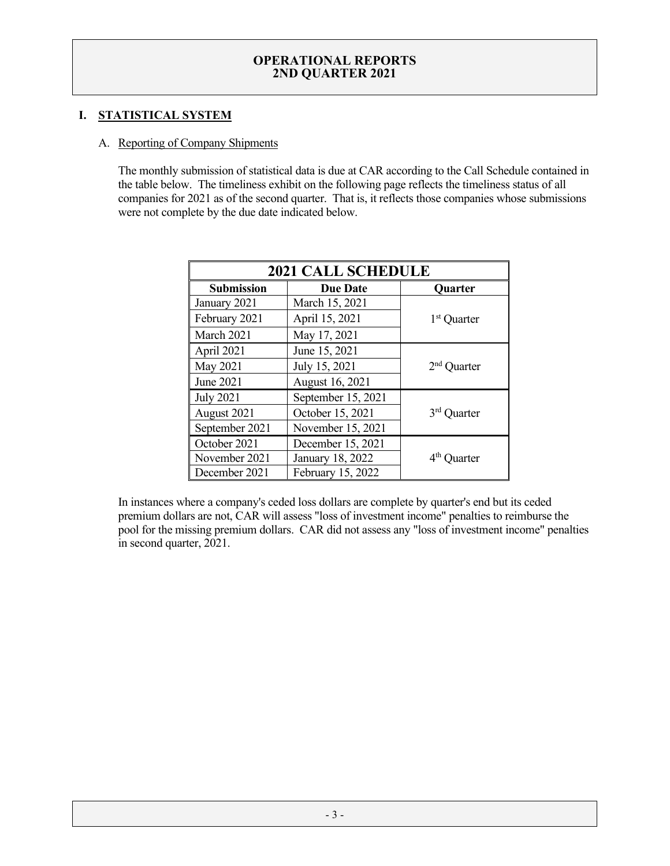# **I. STATISTICAL SYSTEM**

#### A. Reporting of Company Shipments

The monthly submission of statistical data is due at CAR according to the Call Schedule contained in the table below. The timeliness exhibit on the following page reflects the timeliness status of all companies for 2021 as of the second quarter. That is, it reflects those companies whose submissions were not complete by the due date indicated below.

| <b>2021 CALL SCHEDULE</b> |                    |                         |  |  |  |  |  |
|---------------------------|--------------------|-------------------------|--|--|--|--|--|
| <b>Submission</b>         | <b>Quarter</b>     |                         |  |  |  |  |  |
| January 2021              | March 15, 2021     |                         |  |  |  |  |  |
| February 2021             | April 15, 2021     | 1 <sup>st</sup> Quarter |  |  |  |  |  |
| March 2021                | May 17, 2021       |                         |  |  |  |  |  |
| April 2021                | June 15, 2021      |                         |  |  |  |  |  |
| May 2021                  | July 15, 2021      | $2nd$ Quarter           |  |  |  |  |  |
| June 2021                 | August 16, 2021    |                         |  |  |  |  |  |
| <b>July 2021</b>          | September 15, 2021 |                         |  |  |  |  |  |
| August 2021               | October 15, 2021   | 3 <sup>rd</sup> Quarter |  |  |  |  |  |
| September 2021            | November 15, 2021  |                         |  |  |  |  |  |
| October 2021              | December 15, 2021  |                         |  |  |  |  |  |
| November 2021             | January 18, 2022   | 4 <sup>th</sup> Quarter |  |  |  |  |  |
| December 2021             | February 15, 2022  |                         |  |  |  |  |  |

In instances where a company's ceded loss dollars are complete by quarter's end but its ceded premium dollars are not, CAR will assess "loss of investment income" penalties to reimburse the pool for the missing premium dollars. CAR did not assess any "loss of investment income" penalties in second quarter, 2021.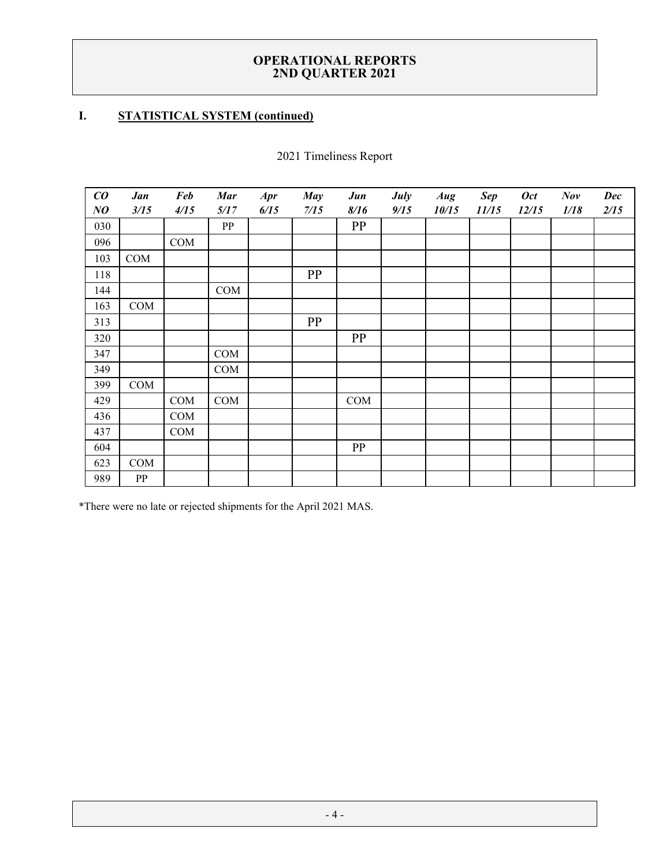# **I. STATISTICAL SYSTEM (continued)**

| $\boldsymbol{co}$ | Jan  | <b>Feb</b> | <b>Mar</b> | <b>Apr</b> | <b>May</b> | Jun  | July | Aug   | <b>Sep</b> | <b>Oct</b> | Nov  | <b>Dec</b> |
|-------------------|------|------------|------------|------------|------------|------|------|-------|------------|------------|------|------------|
| NQ                | 3/15 | 4/15       | 5/17       | 6/15       | 7/15       | 8/16 | 9/15 | 10/15 | 11/15      | 12/15      | 1/18 | 2/15       |
| 030               |      |            | ${\bf PP}$ |            |            | PP   |      |       |            |            |      |            |
| 096               |      | COM        |            |            |            |      |      |       |            |            |      |            |
| 103               | COM  |            |            |            |            |      |      |       |            |            |      |            |
| 118               |      |            |            |            | PP         |      |      |       |            |            |      |            |
| 144               |      |            | COM        |            |            |      |      |       |            |            |      |            |
| 163               | COM  |            |            |            |            |      |      |       |            |            |      |            |
| 313               |      |            |            |            | PP         |      |      |       |            |            |      |            |
| 320               |      |            |            |            |            | PP   |      |       |            |            |      |            |
| 347               |      |            | COM        |            |            |      |      |       |            |            |      |            |
| 349               |      |            | COM        |            |            |      |      |       |            |            |      |            |
| 399               | COM  |            |            |            |            |      |      |       |            |            |      |            |
| 429               |      | COM        | COM        |            |            | COM  |      |       |            |            |      |            |
| 436               |      | COM        |            |            |            |      |      |       |            |            |      |            |
| 437               |      | COM        |            |            |            |      |      |       |            |            |      |            |
| 604               |      |            |            |            |            | PP   |      |       |            |            |      |            |
| 623               | COM  |            |            |            |            |      |      |       |            |            |      |            |
| 989               | PP   |            |            |            |            |      |      |       |            |            |      |            |

Timeliness Report

\*There were no late or rejected shipments for the April 2021 MAS.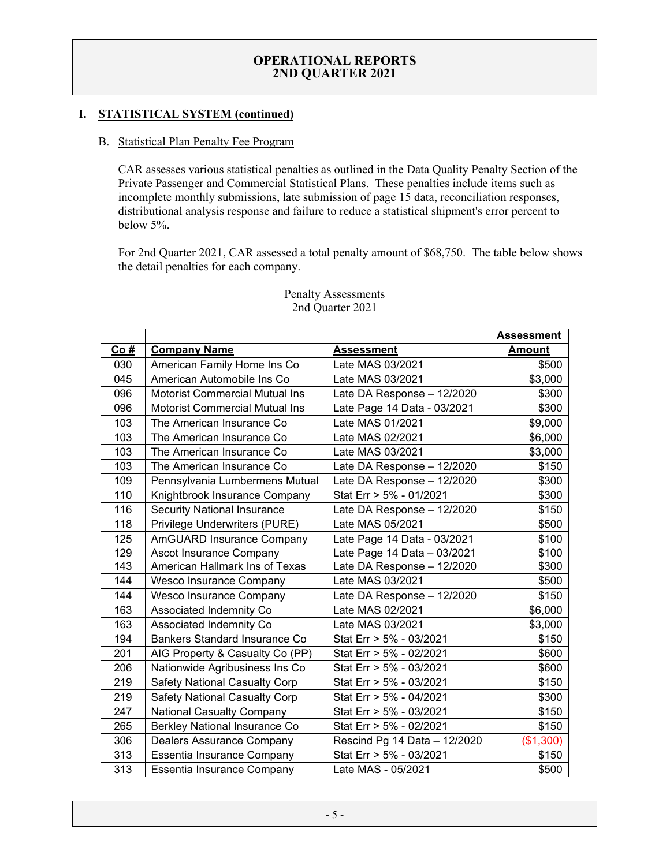# **I. STATISTICAL SYSTEM (continued)**

#### B. Statistical Plan Penalty Fee Program

CAR assesses various statistical penalties as outlined in the Data Quality Penalty Section of the Private Passenger and Commercial Statistical Plans. These penalties include items such as incomplete monthly submissions, late submission of page 15 data, reconciliation responses, distributional analysis response and failure to reduce a statistical shipment's error percent to below 5%.

For 2nd Quarter 2021, CAR assessed a total penalty amount of \$68,750. The table below shows the detail penalties for each company.

|     |                                       |                              | <b>Assessment</b> |
|-----|---------------------------------------|------------------------------|-------------------|
| Co# | <b>Company Name</b>                   | <b>Assessment</b>            | <b>Amount</b>     |
| 030 | American Family Home Ins Co           | Late MAS 03/2021             | \$500             |
| 045 | American Automobile Ins Co            | Late MAS 03/2021             | \$3,000           |
| 096 | <b>Motorist Commercial Mutual Ins</b> | Late DA Response - 12/2020   | \$300             |
| 096 | <b>Motorist Commercial Mutual Ins</b> | Late Page 14 Data - 03/2021  | \$300             |
| 103 | The American Insurance Co             | Late MAS 01/2021             | \$9,000           |
| 103 | The American Insurance Co             | Late MAS 02/2021             | \$6,000           |
| 103 | The American Insurance Co             | Late MAS 03/2021             | \$3,000           |
| 103 | The American Insurance Co             | Late DA Response - 12/2020   | \$150             |
| 109 | Pennsylvania Lumbermens Mutual        | Late DA Response - 12/2020   | \$300             |
| 110 | Knightbrook Insurance Company         | Stat Err > 5% - 01/2021      | \$300             |
| 116 | <b>Security National Insurance</b>    | Late DA Response - 12/2020   | \$150             |
| 118 | Privilege Underwriters (PURE)         | Late MAS 05/2021             | \$500             |
| 125 | AmGUARD Insurance Company             | Late Page 14 Data - 03/2021  | \$100             |
| 129 | Ascot Insurance Company               | Late Page 14 Data - 03/2021  | \$100             |
| 143 | American Hallmark Ins of Texas        | Late DA Response - 12/2020   | \$300             |
| 144 | <b>Wesco Insurance Company</b>        | Late MAS 03/2021             | \$500             |
| 144 | Wesco Insurance Company               | Late DA Response - 12/2020   | \$150             |
| 163 | Associated Indemnity Co               | Late MAS 02/2021             | \$6,000           |
| 163 | Associated Indemnity Co               | Late MAS 03/2021             | \$3,000           |
| 194 | Bankers Standard Insurance Co         | Stat Err > 5% - 03/2021      | \$150             |
| 201 | AIG Property & Casualty Co (PP)       | Stat Err > 5% - 02/2021      | \$600             |
| 206 | Nationwide Agribusiness Ins Co        | Stat Err > 5% - 03/2021      | \$600             |
| 219 | <b>Safety National Casualty Corp</b>  | Stat Err > 5% - 03/2021      | \$150             |
| 219 | <b>Safety National Casualty Corp</b>  | Stat Err > 5% - 04/2021      | \$300             |
| 247 | <b>National Casualty Company</b>      | Stat Err > 5% - 03/2021      | \$150             |
| 265 | Berkley National Insurance Co         | Stat Err > 5% - 02/2021      | \$150             |
| 306 | Dealers Assurance Company             | Rescind Pg 14 Data - 12/2020 | (\$1,300)         |
| 313 | Essentia Insurance Company            | Stat Err > 5% - 03/2021      | \$150             |
| 313 | Essentia Insurance Company            | Late MAS - 05/2021           | \$500             |

#### Penalty Assessments 2nd Quarter 2021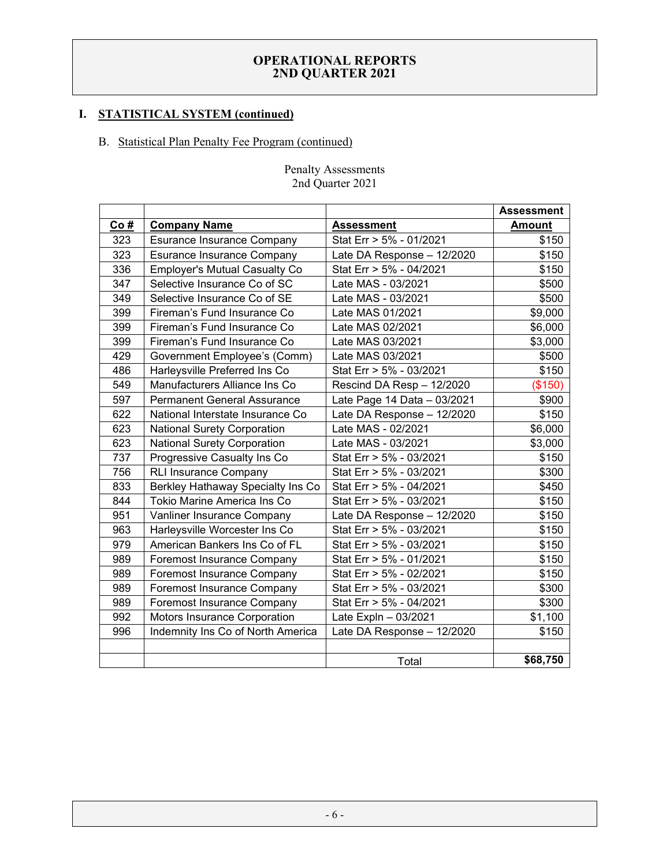# **I. STATISTICAL SYSTEM (continued)**

# B. Statistical Plan Penalty Fee Program (continued)

|     |                                      |                             | <b>Assessment</b> |
|-----|--------------------------------------|-----------------------------|-------------------|
| Co# | <b>Company Name</b>                  | <b>Assessment</b>           | <b>Amount</b>     |
| 323 | <b>Esurance Insurance Company</b>    | Stat Err > 5% - 01/2021     | \$150             |
| 323 | <b>Esurance Insurance Company</b>    | Late DA Response - 12/2020  | \$150             |
| 336 | <b>Employer's Mutual Casualty Co</b> | Stat Err > 5% - 04/2021     | \$150             |
| 347 | Selective Insurance Co of SC         | Late MAS - 03/2021          | \$500             |
| 349 | Selective Insurance Co of SE         | Late MAS - 03/2021          | \$500             |
| 399 | Fireman's Fund Insurance Co          | Late MAS 01/2021            | \$9,000           |
| 399 | Fireman's Fund Insurance Co          | Late MAS 02/2021            | \$6,000           |
| 399 | Fireman's Fund Insurance Co          | Late MAS 03/2021            | \$3,000           |
| 429 | Government Employee's (Comm)         | Late MAS 03/2021            | \$500             |
| 486 | Harleysville Preferred Ins Co        | Stat Err > 5% - 03/2021     | \$150             |
| 549 | Manufacturers Alliance Ins Co        | Rescind DA Resp - 12/2020   | (\$150)           |
| 597 | <b>Permanent General Assurance</b>   | Late Page 14 Data - 03/2021 | \$900             |
| 622 | National Interstate Insurance Co     | Late DA Response - 12/2020  | \$150             |
| 623 | <b>National Surety Corporation</b>   | Late MAS - 02/2021          | \$6,000           |
| 623 | <b>National Surety Corporation</b>   | Late MAS - 03/2021          | \$3,000           |
| 737 | Progressive Casualty Ins Co          | Stat Err > 5% - 03/2021     | \$150             |
| 756 | <b>RLI Insurance Company</b>         | Stat Err > 5% - 03/2021     | \$300             |
| 833 | Berkley Hathaway Specialty Ins Co    | Stat Err > 5% - 04/2021     | \$450             |
| 844 | Tokio Marine America Ins Co          | Stat Err > 5% - 03/2021     | \$150             |
| 951 | Vanliner Insurance Company           | Late DA Response - 12/2020  | \$150             |
| 963 | Harleysville Worcester Ins Co        | Stat Err > 5% - 03/2021     | \$150             |
| 979 | American Bankers Ins Co of FL        | Stat Err > 5% - 03/2021     | \$150             |
| 989 | Foremost Insurance Company           | Stat Err > 5% - 01/2021     | \$150             |
| 989 | Foremost Insurance Company           | Stat Err > 5% - 02/2021     | \$150             |
| 989 | <b>Foremost Insurance Company</b>    | Stat Err > 5% - 03/2021     | \$300             |
| 989 | <b>Foremost Insurance Company</b>    | Stat Err > 5% - 04/2021     | \$300             |
| 992 | Motors Insurance Corporation         | Late Expln - 03/2021        | \$1,100           |
| 996 | Indemnity Ins Co of North America    | Late DA Response - 12/2020  | \$150             |
|     |                                      |                             |                   |
|     |                                      | Total                       | \$68,750          |

#### Penalty Assessments 2nd Quarter 2021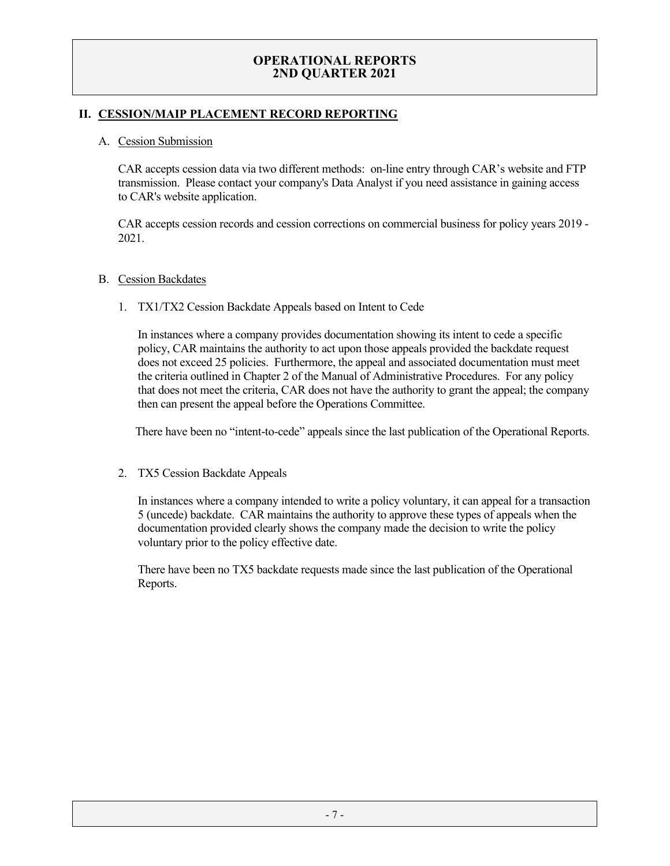# **II. CESSION/MAIP PLACEMENT RECORD REPORTING**

#### A. Cession Submission

CAR accepts cession data via two different methods: on-line entry through CAR's website and FTP transmission. Please contact your company's Data Analyst if you need assistance in gaining access to CAR's website application.

CAR accepts cession records and cession corrections on commercial business for policy years 2019 - 2021.

#### B. Cession Backdates

1. TX1/TX2 Cession Backdate Appeals based on Intent to Cede

In instances where a company provides documentation showing its intent to cede a specific policy, CAR maintains the authority to act upon those appeals provided the backdate request does not exceed 25 policies. Furthermore, the appeal and associated documentation must meet the criteria outlined in Chapter 2 of the Manual of Administrative Procedures. For any policy that does not meet the criteria, CAR does not have the authority to grant the appeal; the company then can present the appeal before the Operations Committee.

There have been no "intent-to-cede" appeals since the last publication of the Operational Reports.

2. TX5 Cession Backdate Appeals

In instances where a company intended to write a policy voluntary, it can appeal for a transaction 5 (uncede) backdate. CAR maintains the authority to approve these types of appeals when the documentation provided clearly shows the company made the decision to write the policy voluntary prior to the policy effective date.

There have been no TX5 backdate requests made since the last publication of the Operational Reports.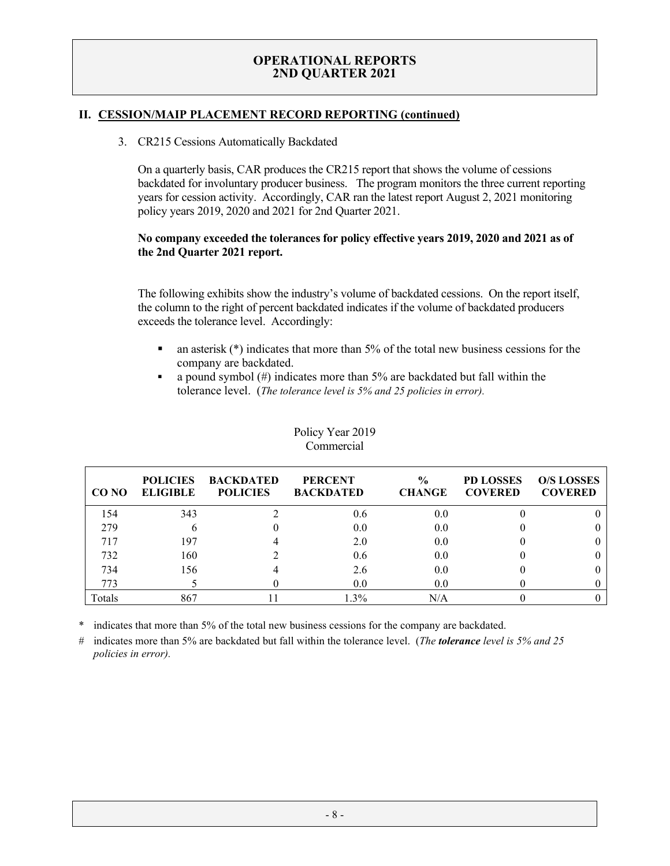### **II. CESSION/MAIP PLACEMENT RECORD REPORTING (continued)**

#### 3. CR215 Cessions Automatically Backdated

On a quarterly basis, CAR produces the CR215 report that shows the volume of cessions backdated for involuntary producer business. The program monitors the three current reporting years for cession activity. Accordingly, CAR ran the latest report August 2, 2021 monitoring policy years 2019, 2020 and 2021 for 2nd Quarter 2021.

#### **No company exceeded the tolerances for policy effective years 2019, 2020 and 2021 as of the 2nd Quarter 2021 report.**

The following exhibits show the industry's volume of backdated cessions. On the report itself, the column to the right of percent backdated indicates if the volume of backdated producers exceeds the tolerance level. Accordingly:

- $\blacksquare$  an asterisk (\*) indicates that more than 5% of the total new business cessions for the company are backdated.
- a pound symbol  $(\#)$  indicates more than 5% are backdated but fall within the tolerance level. (*The tolerance level is 5% and 25 policies in error).*

| CO NO  | <b>POLICIES</b><br><b>ELIGIBLE</b> | <b>BACKDATED</b><br><b>POLICIES</b> | <b>PERCENT</b><br><b>BACKDATED</b> | $\frac{6}{9}$<br><b>CHANGE</b> | <b>PD LOSSES</b><br><b>COVERED</b> | <b>O/S LOSSES</b><br><b>COVERED</b> |
|--------|------------------------------------|-------------------------------------|------------------------------------|--------------------------------|------------------------------------|-------------------------------------|
| 154    | 343                                |                                     | 0.6                                | 0.0                            |                                    |                                     |
| 279    |                                    |                                     | 0.0                                | 0.0                            |                                    |                                     |
| 717    | 197                                |                                     | 2.0                                | 0.0                            |                                    |                                     |
| 732    | 160                                |                                     | 0.6                                | 0.0                            |                                    |                                     |
| 734    | 156                                |                                     | 2.6                                | 0.0                            |                                    |                                     |
| 773    |                                    |                                     | 0.0                                | 0.0                            |                                    |                                     |
| Totals | 867                                |                                     | $.3\%$                             | $\rm N/A$                      |                                    |                                     |

#### Policy Year 2019 Commercial

indicates that more than 5% of the total new business cessions for the company are backdated.

# indicates more than 5% are backdated but fall within the tolerance level. (*The tolerance level is 5% and 25 policies in error).*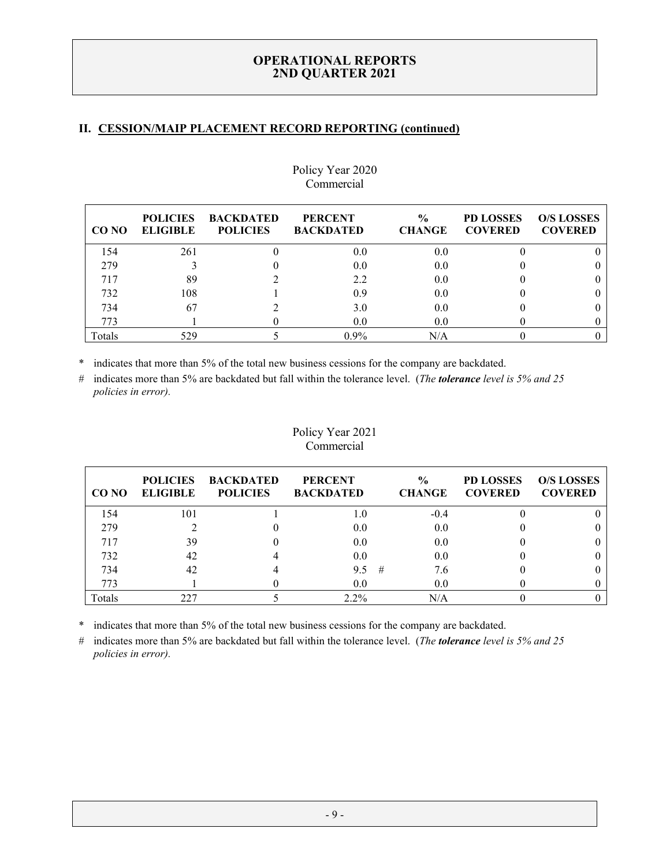# **II. CESSION/MAIP PLACEMENT RECORD REPORTING (continued)**

| CO NO  | <b>POLICIES</b><br><b>ELIGIBLE</b> | <b>BACKDATED</b><br><b>POLICIES</b> | <b>PERCENT</b><br><b>BACKDATED</b> | $\frac{0}{0}$<br><b>CHANGE</b> | <b>PD LOSSES</b><br><b>COVERED</b> | <b>O/S LOSSES</b><br><b>COVERED</b> |
|--------|------------------------------------|-------------------------------------|------------------------------------|--------------------------------|------------------------------------|-------------------------------------|
| 154    | 261                                |                                     | 0.0                                | 0.0                            |                                    |                                     |
| 279    |                                    |                                     | 0.0                                | 0.0                            |                                    |                                     |
| 717    | 89                                 |                                     | 2.2                                | 0.0                            |                                    |                                     |
| 732    | 108                                |                                     | 0.9                                | 0.0                            |                                    |                                     |
| 734    | 67                                 |                                     | 3.0                                | 0.0                            |                                    |                                     |
| 773    |                                    |                                     | 0.0                                | 0.0                            |                                    |                                     |
| Totals | 529                                |                                     | $0.9\%$                            | N/A                            |                                    |                                     |

# Policy Year 2020 Commercial

\* indicates that more than 5% of the total new business cessions for the company are backdated.

# indicates more than 5% are backdated but fall within the tolerance level. (*The tolerance level is 5% and 25 policies in error).*

# Policy Year 2021 Commercial

| CO NO  | <b>POLICIES</b><br><b>ELIGIBLE</b> | <b>BACKDATED</b><br><b>POLICIES</b> | <b>PERCENT</b><br><b>BACKDATED</b> |   | $\frac{0}{0}$<br><b>CHANGE</b> | <b>PD LOSSES</b><br><b>COVERED</b> | <b>O/S LOSSES</b><br><b>COVERED</b> |
|--------|------------------------------------|-------------------------------------|------------------------------------|---|--------------------------------|------------------------------------|-------------------------------------|
| 154    | 101                                |                                     | 1.0                                |   | $-0.4$                         |                                    |                                     |
| 279    |                                    |                                     | 0.0                                |   | 0.0                            |                                    |                                     |
| 717    | 39                                 |                                     | 0.0                                |   | 0.0                            |                                    |                                     |
| 732    | 42                                 |                                     | 0.0                                |   | 0.0                            |                                    |                                     |
| 734    |                                    |                                     | 9.5                                | # | 7.6                            |                                    |                                     |
| 773    |                                    |                                     | 0.0                                |   | 0.0                            |                                    |                                     |
| Totals | 227                                |                                     | $2.2\%$                            |   | N/A                            |                                    |                                     |

\* indicates that more than 5% of the total new business cessions for the company are backdated.

# indicates more than 5% are backdated but fall within the tolerance level. (*The tolerance level is 5% and 25 policies in error).*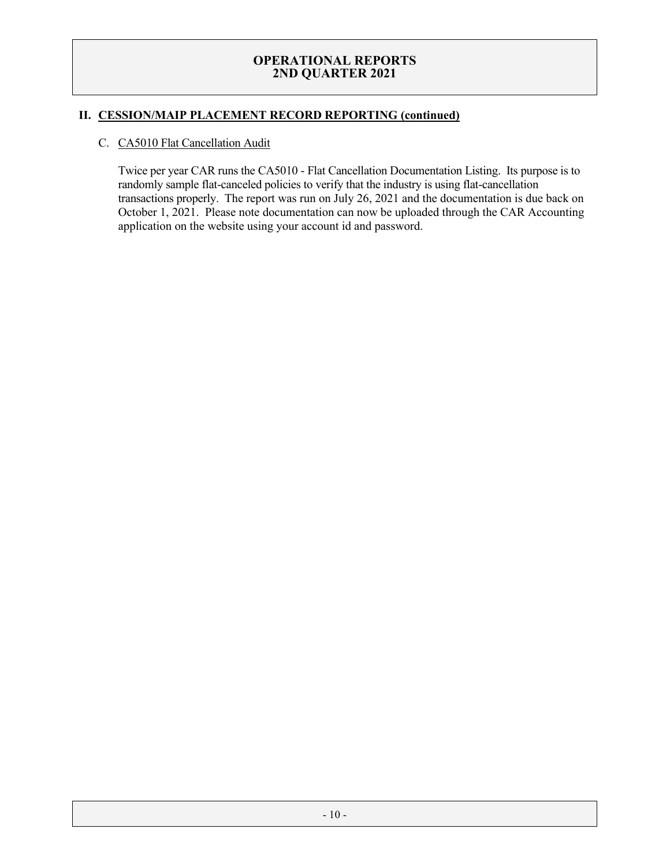# **II. CESSION/MAIP PLACEMENT RECORD REPORTING (continued)**

#### C. CA5010 Flat Cancellation Audit

Twice per year CAR runs the CA5010 - Flat Cancellation Documentation Listing. Its purpose is to randomly sample flat-canceled policies to verify that the industry is using flat-cancellation transactions properly. The report was run on July 26, 2021 and the documentation is due back on October 1, 2021. Please note documentation can now be uploaded through the CAR Accounting application on the website using your account id and password.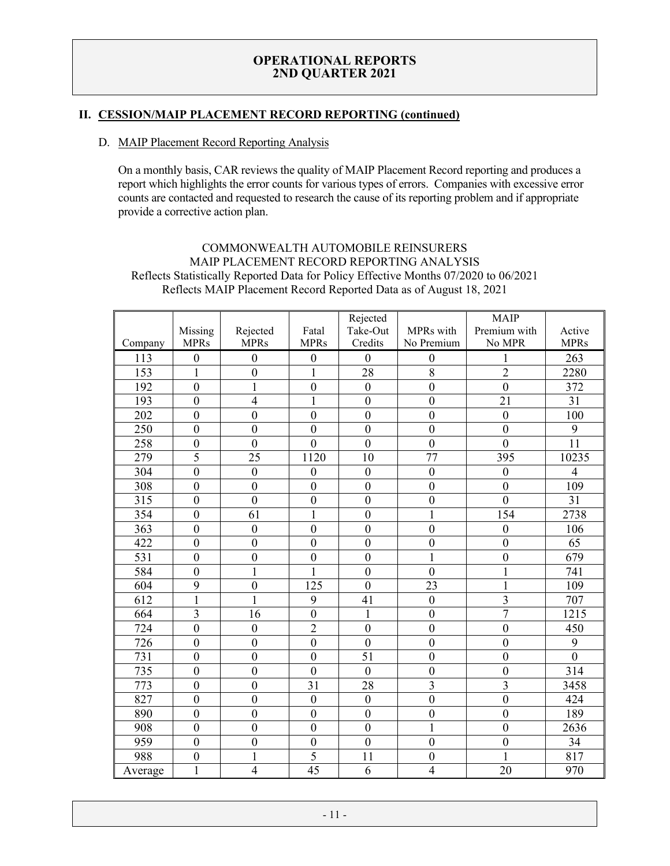# **II. CESSION/MAIP PLACEMENT RECORD REPORTING (continued)**

#### D. MAIP Placement Record Reporting Analysis

On a monthly basis, CAR reviews the quality of MAIP Placement Record reporting and produces a report which highlights the error counts for various types of errors. Companies with excessive error counts are contacted and requested to research the cause of its reporting problem and if appropriate provide a corrective action plan.

# COMMONWEALTH AUTOMOBILE REINSURERS MAIP PLACEMENT RECORD REPORTING ANALYSIS Reflects Statistically Reported Data for Policy Effective Months 07/2020 to 06/2021 Reflects MAIP Placement Record Reported Data as of August 18, 2021

|         |                  |                  |                  | Rejected         |                  | <b>MAIP</b>      |                |
|---------|------------------|------------------|------------------|------------------|------------------|------------------|----------------|
|         | Missing          | Rejected         | Fatal            | Take-Out         | MPRs with        | Premium with     | Active         |
| Company | <b>MPRs</b>      | <b>MPRs</b>      | <b>MPRs</b>      | Credits          | No Premium       | No MPR           | <b>MPRs</b>    |
| 113     | $\boldsymbol{0}$ | $\boldsymbol{0}$ | $\boldsymbol{0}$ | $\boldsymbol{0}$ | $\boldsymbol{0}$ | 1                | 263            |
| 153     | $\mathbf{1}$     | $\mathbf{0}$     | $\mathbf{1}$     | 28               | $\overline{8}$   | $\overline{2}$   | 2280           |
| 192     | $\mathbf{0}$     | $\mathbf{1}$     | $\boldsymbol{0}$ | $\boldsymbol{0}$ | $\boldsymbol{0}$ | $\mathbf{0}$     | 372            |
| 193     | $\mathbf{0}$     | $\overline{4}$   | $\mathbf{1}$     | $\boldsymbol{0}$ | $\boldsymbol{0}$ | 21               | 31             |
| 202     | $\mathbf{0}$     | $\overline{0}$   | $\overline{0}$   | $\overline{0}$   | $\boldsymbol{0}$ | $\mathbf{0}$     | 100            |
| 250     | $\boldsymbol{0}$ | $\mathbf{0}$     | $\mathbf{0}$     | $\boldsymbol{0}$ | $\boldsymbol{0}$ | $\mathbf{0}$     | 9              |
| 258     | $\mathbf{0}$     | $\mathbf{0}$     | $\overline{0}$   | $\overline{0}$   | $\boldsymbol{0}$ | $\overline{0}$   | 11             |
| 279     | 5                | 25               | 1120             | 10               | 77               | 395              | 10235          |
| 304     | $\mathbf{0}$     | $\boldsymbol{0}$ | $\mathbf{0}$     | $\mathbf{0}$     | $\boldsymbol{0}$ | $\boldsymbol{0}$ | $\overline{4}$ |
| 308     | $\mathbf{0}$     | $\boldsymbol{0}$ | $\overline{0}$   | $\boldsymbol{0}$ | $\boldsymbol{0}$ | $\mathbf{0}$     | 109            |
| 315     | $\mathbf{0}$     | $\overline{0}$   | $\boldsymbol{0}$ | $\mathbf{0}$     | $\boldsymbol{0}$ | $\overline{0}$   | 31             |
| 354     | $\boldsymbol{0}$ | 61               | $\mathbf{1}$     | $\overline{0}$   | $\mathbf 1$      | 154              | 2738           |
| 363     | $\mathbf{0}$     | $\mathbf{0}$     | $\overline{0}$   | $\overline{0}$   | $\overline{0}$   | $\mathbf{0}$     | 106            |
| 422     | $\mathbf{0}$     | $\mathbf{0}$     | $\overline{0}$   | $\boldsymbol{0}$ | $\boldsymbol{0}$ | $\mathbf{0}$     | 65             |
| 531     | $\boldsymbol{0}$ | $\boldsymbol{0}$ | $\mathbf{0}$     | $\mathbf{0}$     | $\mathbf{1}$     | $\mathbf{0}$     | 679            |
| 584     | $\boldsymbol{0}$ | 1                | $\mathbf{1}$     | $\mathbf{0}$     | $\boldsymbol{0}$ | 1                | 741            |
| 604     | 9                | $\mathbf{0}$     | 125              | $\overline{0}$   | 23               | $\mathbf{1}$     | 109            |
| 612     | $\mathbf{1}$     | $\mathbf{1}$     | 9                | 41               | $\boldsymbol{0}$ | 3                | 707            |
| 664     | $\overline{3}$   | 16               | $\overline{0}$   | $\mathbf{1}$     | $\boldsymbol{0}$ | $\overline{7}$   | 1215           |
| 724     | $\boldsymbol{0}$ | $\boldsymbol{0}$ | $\overline{2}$   | $\boldsymbol{0}$ | $\boldsymbol{0}$ | $\boldsymbol{0}$ | 450            |
| 726     | $\boldsymbol{0}$ | $\mathbf{0}$     | $\overline{0}$   | $\overline{0}$   | $\mathbf{0}$     | $\mathbf{0}$     | 9              |
| 731     | $\boldsymbol{0}$ | $\mathbf{0}$     | $\mathbf{0}$     | 51               | $\mathbf{0}$     | $\mathbf{0}$     | $\overline{0}$ |
| 735     | $\boldsymbol{0}$ | $\mathbf{0}$     | $\mathbf{0}$     | $\boldsymbol{0}$ | $\boldsymbol{0}$ | $\mathbf{0}$     | 314            |
| 773     | $\overline{0}$   | $\overline{0}$   | 31               | 28               | 3                | $\overline{3}$   | 3458           |
| 827     | $\boldsymbol{0}$ | $\boldsymbol{0}$ | $\boldsymbol{0}$ | $\boldsymbol{0}$ | $\boldsymbol{0}$ | $\mathbf{0}$     | 424            |
| 890     | $\mathbf{0}$     | $\mathbf{0}$     | $\overline{0}$   | $\mathbf{0}$     | $\boldsymbol{0}$ | $\overline{0}$   | 189            |
| 908     | $\mathbf{0}$     | $\mathbf{0}$     | $\overline{0}$   | $\overline{0}$   | $\mathbf{1}$     | $\boldsymbol{0}$ | 2636           |
| 959     | $\mathbf{0}$     | $\mathbf{0}$     | $\overline{0}$   | $\overline{0}$   | $\mathbf{0}$     | $\mathbf{0}$     | 34             |
| 988     | $\mathbf{0}$     | $\mathbf{1}$     | 5                | 11               | $\boldsymbol{0}$ | $\mathbf{1}$     | 817            |
| Average | $\mathbf{1}$     | $\overline{4}$   | 45               | 6                | $\overline{4}$   | 20               | 970            |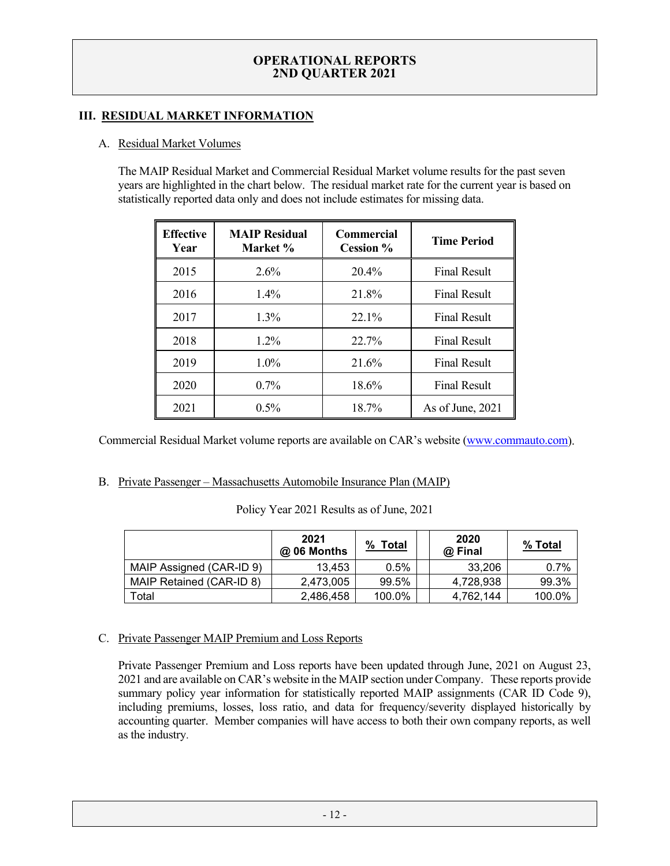# **III. RESIDUAL MARKET INFORMATION**

### A. Residual Market Volumes

The MAIP Residual Market and Commercial Residual Market volume results for the past seven years are highlighted in the chart below. The residual market rate for the current year is based on statistically reported data only and does not include estimates for missing data.

| <b>Effective</b><br>Year | <b>MAIP Residual</b><br>Market % | <b>Commercial</b><br>Cession % | <b>Time Period</b>  |
|--------------------------|----------------------------------|--------------------------------|---------------------|
| 2015                     | $2.6\%$                          | 20.4%                          | <b>Final Result</b> |
| 2016                     | $1.4\%$                          | 21.8%                          | <b>Final Result</b> |
| 2017                     | $1.3\%$                          | 22.1%                          | <b>Final Result</b> |
| 2018                     | $1.2\%$                          | 22.7%                          | <b>Final Result</b> |
| 2019                     | $1.0\%$                          | 21.6%                          | <b>Final Result</b> |
| 2020                     | $0.7\%$                          | 18.6%                          | <b>Final Result</b> |
| 2021                     | 0.5%                             | 18.7%                          | As of June, 2021    |

Commercial Residual Market volume reports are available on CAR's website [\(www.commauto.com\)](http://www.commauto.com/).

#### B. Private Passenger – Massachusetts Automobile Insurance Plan (MAIP)

|  |  |  |  |  | Policy Year 2021 Results as of June, 2021 |
|--|--|--|--|--|-------------------------------------------|
|--|--|--|--|--|-------------------------------------------|

|                          | 2021<br>@ 06 Months | %<br><b>Total</b> | 2020<br>@ Final | % Total |
|--------------------------|---------------------|-------------------|-----------------|---------|
| MAIP Assigned (CAR-ID 9) | 13.453              | 0.5%              | 33.206          | 0.7%    |
| MAIP Retained (CAR-ID 8) | 2.473.005           | 99.5%             | 4,728,938       | 99.3%   |
| Total                    | 2,486,458           | 100.0%            | 4,762,144       | 100.0%  |

#### C. Private Passenger MAIP Premium and Loss Reports

Private Passenger Premium and Loss reports have been updated through June, 2021 on August 23, 2021 and are available on CAR's website in the MAIP section under Company. These reports provide summary policy year information for statistically reported MAIP assignments (CAR ID Code 9), including premiums, losses, loss ratio, and data for frequency/severity displayed historically by accounting quarter. Member companies will have access to both their own company reports, as well as the industry.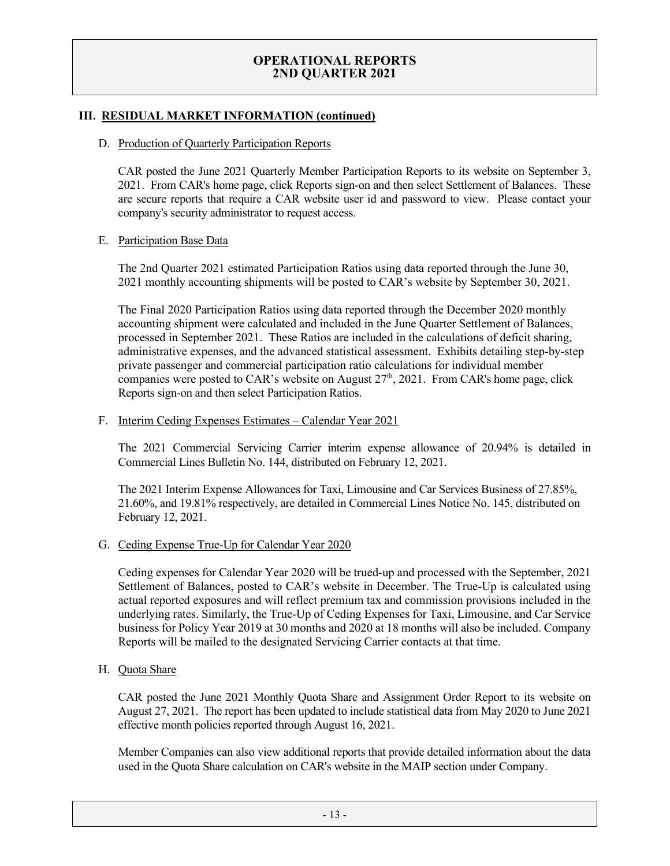#### **III. RESIDUAL MARKET INFORMATION (continued)**

#### D. Production of Quarterly Participation Reports

CAR posted the June 2021 Quarterly Member Participation Reports to its website on September 3, 2021. From CAR's home page, click Reports sign-on and then select Settlement of Balances. These are secure reports that require a CAR website user id and password to view. Please contact your company's security administrator to request access.

#### E. Participation Base Data

The 2nd Quarter 2021 estimated Participation Ratios using data reported through the June 30, 2021 monthly accounting shipments will be posted to CAR's website by September 30, 2021.

The Final 2020 Participation Ratios using data reported through the December 2020 monthly accounting shipment were calculated and included in the June Quarter Settlement of Balances, processed in September 2021. These Ratios are included in the calculations of deficit sharing, administrative expenses, and the advanced statistical assessment. Exhibits detailing step-by-step private passenger and commercial participation ratio calculations for individual member companies were posted to CAR's website on August 27<sup>th</sup>, 2021. From CAR's home page, click Reports sign-on and then select Participation Ratios.

# F. Interim Ceding Expenses Estimates – Calendar Year 2021

The 2021 Commercial Servicing Carrier interim expense allowance of 20.94% is detailed in Commercial Lines Bulletin No. 144, distributed on February 12, 2021.

The 2021 Interim Expense Allowances for Taxi, Limousine and Car Services Business of 27.85%, 21.60%, and 19.81% respectively, are detailed in Commercial Lines Notice No. 145, distributed on February 12, 2021.

#### G. Ceding Expense True-Up for Calendar Year 2020

Ceding expenses for Calendar Year 2020 will be trued-up and processed with the September, 2021 Settlement of Balances, posted to CAR's website in December. The True-Up is calculated using actual reported exposures and will reflect premium tax and commission provisions included in the underlying rates. Similarly, the True-Up of Ceding Expenses for Taxi, Limousine, and Car Service business for Policy Year 2019 at 30 months and 2020 at 18 months will also be included. Company Reports will be mailed to the designated Servicing Carrier contacts at that time.

H. Quota Share

CAR posted the June 2021 Monthly Quota Share and Assignment Order Report to its website on August 27, 2021. The report has been updated to include statistical data from May 2020 to June 2021 effective month policies reported through August 16, 2021.

Member Companies can also view additional reports that provide detailed information about the data used in the Quota Share calculation on CAR's website in the MAIP section under Company.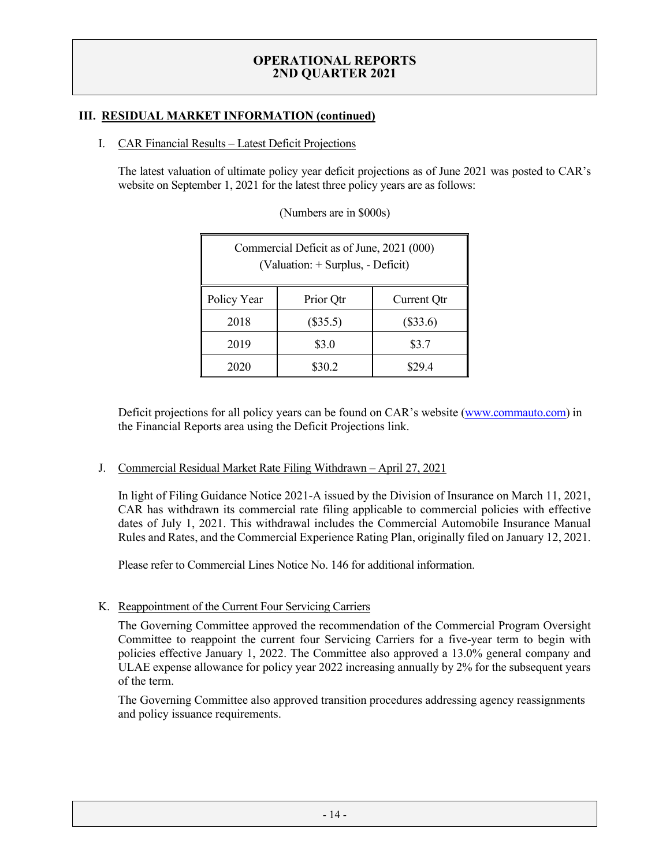# **III. RESIDUAL MARKET INFORMATION (continued)**

#### I. CAR Financial Results – Latest Deficit Projections

The latest valuation of ultimate policy year deficit projections as of June 2021 was posted to CAR's website on September 1, 2021 for the latest three policy years are as follows:

| Commercial Deficit as of June, 2021 (000)<br>(Valuation: + Surplus, - Deficit) |                          |        |  |  |
|--------------------------------------------------------------------------------|--------------------------|--------|--|--|
| Policy Year<br>Prior Qtr<br>Current Qtr                                        |                          |        |  |  |
| 2018                                                                           | $(\$35.5)$<br>$(\$33.6)$ |        |  |  |
| \$3.7<br>2019<br>\$3.0                                                         |                          |        |  |  |
| 2020                                                                           | \$30.2                   | \$29.4 |  |  |

(Numbers are in \$000s)

Deficit projections for all policy years can be found on CAR's website [\(www.commauto.com\)](http://www.commauto.com/) in the Financial Reports area using the Deficit Projections link.

#### J. Commercial Residual Market Rate Filing Withdrawn - April 27, 2021

In light of Filing Guidance Notice 2021-A issued by the Division of Insurance on March 11, 2021, CAR has withdrawn its commercial rate filing applicable to commercial policies with effective dates of July 1, 2021. This withdrawal includes the Commercial Automobile Insurance Manual Rules and Rates, and the Commercial Experience Rating Plan, originally filed on January 12, 2021.

Please refer to [Commercial Lines Notice No. 146](http://www.commauto.com/bulletins/comlines/2021/clnotice_146.pdf) for additional information.

#### K. Reappointment of the Current Four Servicing Carriers

The Governing Committee approved the recommendation of the Commercial Program Oversight Committee to reappoint the current four Servicing Carriers for a five-year term to begin with policies effective January 1, 2022. The Committee also approved a 13.0% general company and ULAE expense allowance for policy year 2022 increasing annually by 2% for the subsequent years of the term.

The Governing Committee also approved transition procedures addressing agency reassignments and policy issuance requirements.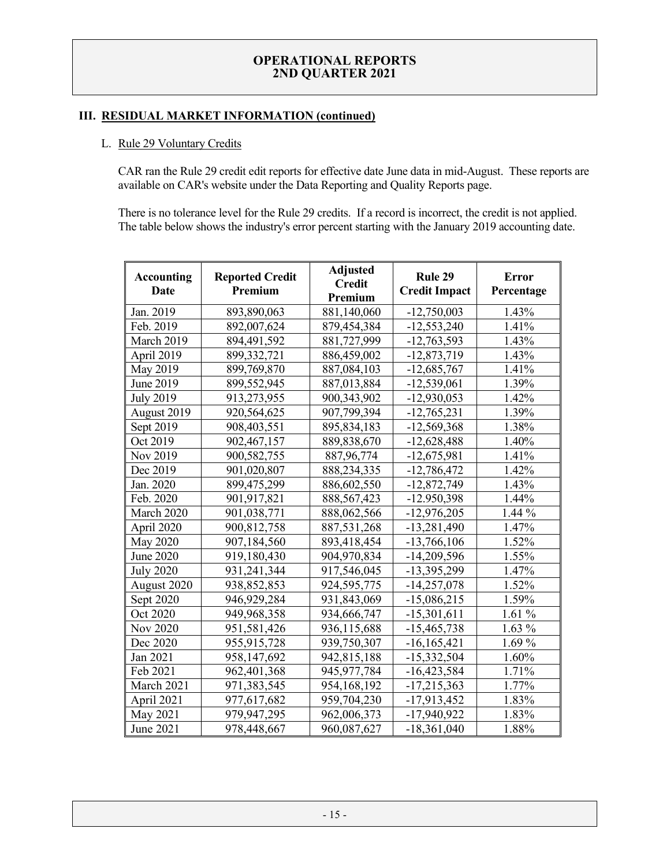#### **III. RESIDUAL MARKET INFORMATION (continued)**

#### L. Rule 29 Voluntary Credits

CAR ran the Rule 29 credit edit reports for effective date June data in mid-August. These reports are available on CAR's website under the Data Reporting and Quality Reports page.

There is no tolerance level for the Rule 29 credits. If a record is incorrect, the credit is not applied. The table below shows the industry's error percent starting with the January 2019 accounting date.

| <b>Accounting</b><br>Date | <b>Reported Credit</b><br>Premium | <b>Adjusted</b><br><b>Credit</b><br>Premium | Rule 29<br><b>Credit Impact</b> | <b>Error</b><br>Percentage |
|---------------------------|-----------------------------------|---------------------------------------------|---------------------------------|----------------------------|
| Jan. 2019                 | 893,890,063                       | 881,140,060                                 | $-12,750,003$                   | 1.43%                      |
| Feb. 2019                 | 892,007,624                       | 879,454,384                                 | $-12,553,240$                   | 1.41%                      |
| March 2019                | 894,491,592                       | 881,727,999                                 | $-12,763,593$                   | 1.43%                      |
| April 2019                | 899,332,721                       | 886,459,002                                 | $-12,873,719$                   | 1.43%                      |
| May 2019                  | 899,769,870                       | 887,084,103                                 | $-12,685,767$                   | 1.41%                      |
| June 2019                 | 899,552,945                       | 887,013,884                                 | $-12,539,061$                   | 1.39%                      |
| <b>July 2019</b>          | 913,273,955                       | 900, 343, 902                               | $-12,930,053$                   | 1.42%                      |
| August 2019               | 920,564,625                       | 907,799,394                                 | $-12,765,231$                   | 1.39%                      |
| Sept 2019                 | 908,403,551                       | 895,834,183                                 | $-12,569,368$                   | 1.38%                      |
| Oct 2019                  | 902,467,157                       | 889, 838, 670                               | $-12,628,488$                   | 1.40%                      |
| Nov 2019                  | 900,582,755                       | 887, 96, 774                                | $-12,675,981$                   | 1.41%                      |
| Dec 2019                  | 901,020,807                       | 888,234,335                                 | $-12,786,472$                   | 1.42%                      |
| Jan. 2020                 | 899,475,299                       | 886,602,550                                 | $-12,872,749$                   | 1.43%                      |
| Feb. 2020                 | 901,917,821                       | 888, 567, 423                               | $-12.950,398$                   | 1.44%                      |
| March 2020                | 901,038,771                       | 888,062,566                                 | $-12,976,205$                   | 1.44 %                     |
| April 2020                | 900,812,758                       | 887,531,268                                 | $-13,281,490$                   | 1.47%                      |
| <b>May 2020</b>           | 907,184,560                       | 893,418,454                                 | $-13,766,106$                   | 1.52%                      |
| June 2020                 | 919,180,430                       | 904,970,834                                 | $-14,209,596$                   | 1.55%                      |
| <b>July 2020</b>          | 931,241,344                       | 917,546,045                                 | -13,395,299                     | 1.47%                      |
| August 2020               | 938,852,853                       | 924,595,775                                 | $-14,257,078$                   | 1.52%                      |
| Sept 2020                 | 946,929,284                       | 931,843,069                                 | $-15,086,215$                   | 1.59%                      |
| Oct 2020                  | 949,968,358                       | 934,666,747                                 | $-15,301,611$                   | 1.61%                      |
| Nov 2020                  | 951,581,426                       | 936,115,688                                 | $-15,465,738$                   | $1.63~\%$                  |
| Dec 2020                  | 955, 915, 728                     | 939,750,307                                 | $-16, 165, 421$                 | 1.69%                      |
| Jan 2021                  | 958,147,692                       | 942,815,188                                 | $-15,332,504$                   | 1.60%                      |
| Feb 2021                  | 962,401,368                       | 945, 977, 784                               | $-16,423,584$                   | 1.71%                      |
| March 2021                | 971,383,545                       | 954,168,192                                 | $-17,215,363$                   | 1.77%                      |
| April 2021                | 977,617,682                       | 959,704,230                                 | $-17,913,452$                   | 1.83%                      |
| May 2021                  | 979,947,295                       | 962,006,373                                 | $-17,940,922$                   | 1.83%                      |
| June 2021                 | 978,448,667                       | 960,087,627                                 | $-18,361,040$                   | 1.88%                      |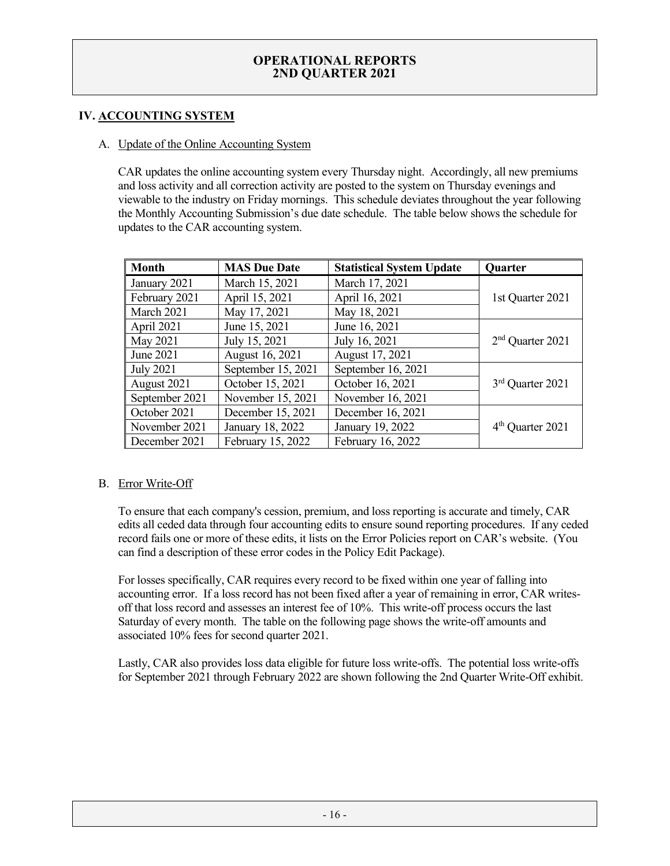# **IV. ACCOUNTING SYSTEM**

#### A. Update of the Online Accounting System

CAR updates the online accounting system every Thursday night. Accordingly, all new premiums and loss activity and all correction activity are posted to the system on Thursday evenings and viewable to the industry on Friday mornings. This schedule deviates throughout the year following the Monthly Accounting Submission's due date schedule. The table below shows the schedule for updates to the CAR accounting system.

| <b>Month</b>     | <b>MAS Due Date</b> | <b>Statistical System Update</b> | Quarter                      |
|------------------|---------------------|----------------------------------|------------------------------|
| January 2021     | March 15, 2021      | March 17, 2021                   |                              |
| February 2021    | April 15, 2021      | April 16, 2021                   | 1st Quarter 2021             |
| March 2021       | May 17, 2021        | May 18, 2021                     |                              |
| April 2021       | June 15, 2021       | June 16, 2021                    |                              |
| May 2021         | July 15, 2021       | July 16, 2021                    | $2nd$ Quarter 2021           |
| June 2021        | August 16, 2021     | August 17, 2021                  |                              |
| <b>July 2021</b> | September 15, 2021  | September 16, 2021               |                              |
| August 2021      | October 15, 2021    | October 16, 2021                 | 3 <sup>rd</sup> Quarter 2021 |
| September 2021   | November 15, 2021   | November 16, 2021                |                              |
| October 2021     | December 15, 2021   | December 16, 2021                |                              |
| November 2021    | January 18, 2022    | January 19, 2022                 | $4th$ Quarter 2021           |
| December 2021    | February 15, 2022   | February 16, 2022                |                              |

#### B. Error Write-Off

To ensure that each company's cession, premium, and loss reporting is accurate and timely, CAR edits all ceded data through four accounting edits to ensure sound reporting procedures. If any ceded record fails one or more of these edits, it lists on the Error Policies report on CAR's website. (You can find a description of these error codes in the Policy Edit Package).

For losses specifically, CAR requires every record to be fixed within one year of falling into accounting error. If a loss record has not been fixed after a year of remaining in error, CAR writesoff that loss record and assesses an interest fee of 10%. This write-off process occurs the last Saturday of every month. The table on the following page shows the write-off amounts and associated 10% fees for second quarter 2021.

Lastly, CAR also provides loss data eligible for future loss write-offs. The potential loss write-offs for September 2021 through February 2022 are shown following the 2nd Quarter Write-Off exhibit.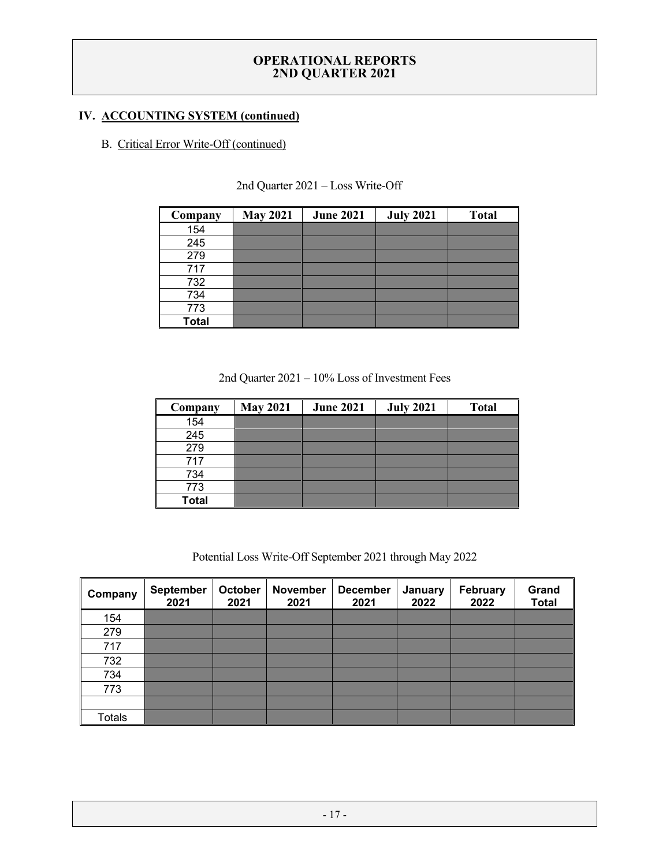# **IV. ACCOUNTING SYSTEM (continued)**

# B. Critical Error Write-Off (continued)

| Company      | <b>May 2021</b> | <b>June 2021</b> | <b>July 2021</b> | <b>Total</b> |
|--------------|-----------------|------------------|------------------|--------------|
| 154          |                 |                  |                  |              |
| 245          |                 |                  |                  |              |
| 279          |                 |                  |                  |              |
| 717          |                 |                  |                  |              |
| 732          |                 |                  |                  |              |
| 734          |                 |                  |                  |              |
| 773          |                 |                  |                  |              |
| <b>Total</b> |                 |                  |                  |              |

#### 2nd Quarter 2021 – Loss Write-Off

2nd Quarter 2021 – 10% Loss of Investment Fees

| Company      | <b>May 2021</b> | <b>June 2021</b> | <b>July 2021</b> | <b>Total</b> |
|--------------|-----------------|------------------|------------------|--------------|
| 154          |                 |                  |                  |              |
| 245          |                 |                  |                  |              |
| 279          |                 |                  |                  |              |
| 717          |                 |                  |                  |              |
| 734          |                 |                  |                  |              |
| 773          |                 |                  |                  |              |
| <b>Total</b> |                 |                  |                  |              |

Potential Loss Write-Off September 2021 through May 2022

| Company       | <b>September</b><br>2021 | October<br>2021 | <b>November</b><br>2021 | <b>December</b><br>2021 | January<br>2022 | February<br>2022 | Grand<br><b>Total</b> |
|---------------|--------------------------|-----------------|-------------------------|-------------------------|-----------------|------------------|-----------------------|
| 154           |                          |                 |                         |                         |                 |                  |                       |
| 279           |                          |                 |                         |                         |                 |                  |                       |
| 717           |                          |                 |                         |                         |                 |                  |                       |
| 732           |                          |                 |                         |                         |                 |                  |                       |
| 734           |                          |                 |                         |                         |                 |                  |                       |
| 773           |                          |                 |                         |                         |                 |                  |                       |
|               |                          |                 |                         |                         |                 |                  |                       |
| <b>Totals</b> |                          |                 |                         |                         |                 |                  |                       |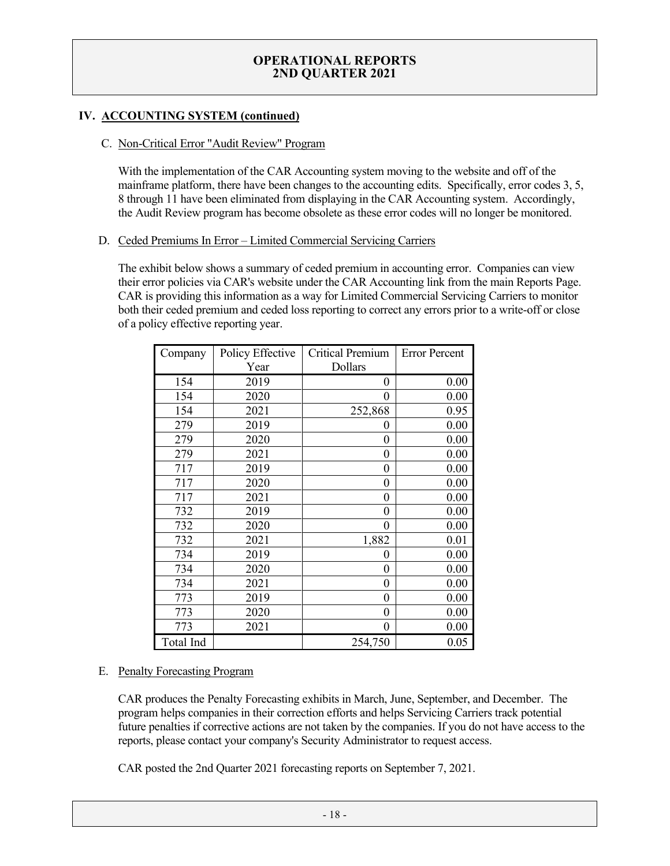# **IV. ACCOUNTING SYSTEM (continued)**

#### C. Non-Critical Error "Audit Review" Program

With the implementation of the CAR Accounting system moving to the website and off of the mainframe platform, there have been changes to the accounting edits. Specifically, error codes 3, 5, 8 through 11 have been eliminated from displaying in the CAR Accounting system. Accordingly, the Audit Review program has become obsolete as these error codes will no longer be monitored.

#### D. Ceded Premiums In Error – Limited Commercial Servicing Carriers

The exhibit below shows a summary of ceded premium in accounting error. Companies can view their error policies via CAR's website under the CAR Accounting link from the main Reports Page. CAR is providing this information as a way for Limited Commercial Servicing Carriers to monitor both their ceded premium and ceded loss reporting to correct any errors prior to a write-off or close of a policy effective reporting year.

| Company   | Policy Effective | <b>Critical Premium</b> | <b>Error Percent</b> |
|-----------|------------------|-------------------------|----------------------|
|           | Year             | Dollars                 |                      |
| 154       | 2019             | 0                       | 0.00                 |
| 154       | 2020             | $\theta$                | 0.00                 |
| 154       | 2021             | 252,868                 | 0.95                 |
| 279       | 2019             | 0                       | 0.00                 |
| 279       | 2020             | $\theta$                | 0.00                 |
| 279       | 2021             | $\theta$                | 0.00                 |
| 717       | 2019             | $\theta$                | 0.00                 |
| 717       | 2020             | $\theta$                | 0.00                 |
| 717       | 2021             | $\theta$                | 0.00                 |
| 732       | 2019             | $\theta$                | 0.00                 |
| 732       | 2020             | $\theta$                | 0.00                 |
| 732       | 2021             | 1,882                   | 0.01                 |
| 734       | 2019             | 0                       | 0.00                 |
| 734       | 2020             | $\theta$                | 0.00                 |
| 734       | 2021             | $\theta$                | 0.00                 |
| 773       | 2019             | $\boldsymbol{0}$        | 0.00                 |
| 773       | 2020             | $\theta$                | 0.00                 |
| 773       | 2021             | $\overline{0}$          | 0.00                 |
| Total Ind |                  | 254,750                 | 0.05                 |

#### E. Penalty Forecasting Program

CAR produces the Penalty Forecasting exhibits in March, June, September, and December. The program helps companies in their correction efforts and helps Servicing Carriers track potential future penalties if corrective actions are not taken by the companies. If you do not have access to the reports, please contact your company's Security Administrator to request access.

CAR posted the 2nd Quarter 2021 forecasting reports on September 7, 2021.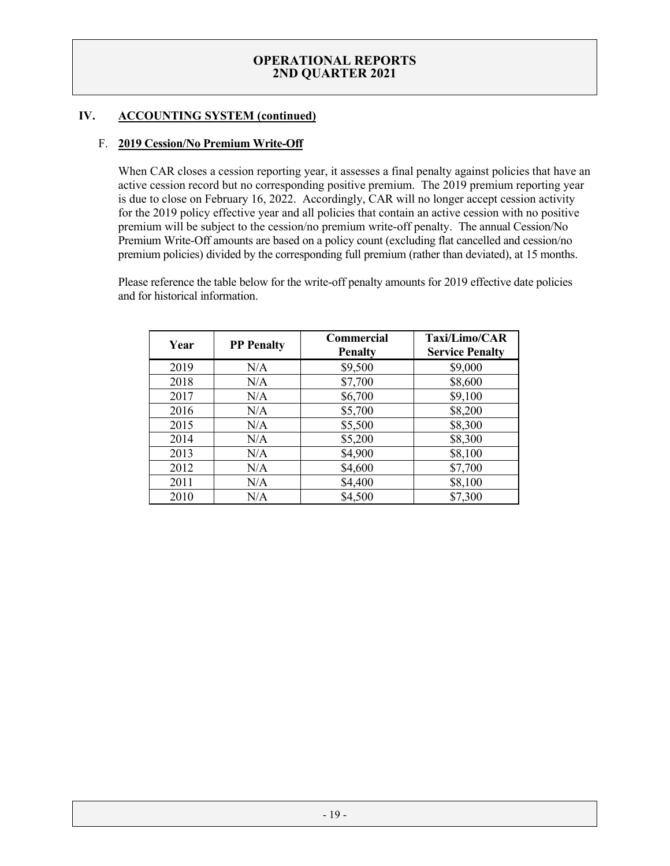# **IV. ACCOUNTING SYSTEM (continued)**

### F. **2019 Cession/No Premium Write-Off**

When CAR closes a cession reporting year, it assesses a final penalty against policies that have an active cession record but no corresponding positive premium. The 2019 premium reporting year is due to close on February 16, 2022. Accordingly, CAR will no longer accept cession activity for the 2019 policy effective year and all policies that contain an active cession with no positive premium will be subject to the cession/no premium write-off penalty. The annual Cession/No Premium Write-Off amounts are based on a policy count (excluding flat cancelled and cession/no premium policies) divided by the corresponding full premium (rather than deviated), at 15 months.

Please reference the table below for the write-off penalty amounts for 2019 effective date policies and for historical information.

| Year | <b>PP</b> Penalty | <b>Commercial</b><br><b>Penalty</b> | Taxi/Limo/CAR<br><b>Service Penalty</b> |
|------|-------------------|-------------------------------------|-----------------------------------------|
| 2019 | N/A               | \$9,500                             | \$9,000                                 |
| 2018 | N/A               | \$7,700                             | \$8,600                                 |
| 2017 | N/A               | \$6,700                             | \$9,100                                 |
| 2016 | N/A               | \$5,700                             | \$8,200                                 |
| 2015 | N/A               | \$5,500                             | \$8,300                                 |
| 2014 | N/A               | \$5,200                             | \$8,300                                 |
| 2013 | N/A               | \$4,900                             | \$8,100                                 |
| 2012 | N/A               | \$4,600                             | \$7,700                                 |
| 2011 | N/A               | \$4,400                             | \$8,100                                 |
| 2010 | N/A               | \$4,500                             | \$7,300                                 |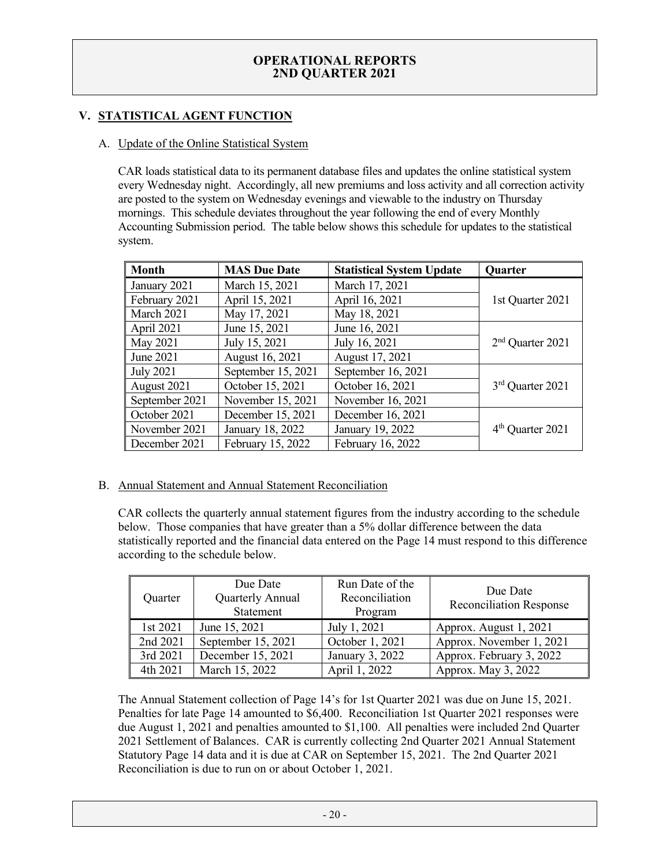# **V. STATISTICAL AGENT FUNCTION**

### A. Update of the Online Statistical System

CAR loads statistical data to its permanent database files and updates the online statistical system every Wednesday night. Accordingly, all new premiums and loss activity and all correction activity are posted to the system on Wednesday evenings and viewable to the industry on Thursday mornings. This schedule deviates throughout the year following the end of every Monthly Accounting Submission period. The table below shows this schedule for updates to the statistical system.

| <b>Month</b>     | <b>MAS Due Date</b> | <b>Statistical System Update</b> | Quarter            |
|------------------|---------------------|----------------------------------|--------------------|
| January 2021     | March 15, 2021      | March 17, 2021                   |                    |
| February 2021    | April 15, 2021      | April 16, 2021                   | 1st Quarter 2021   |
| March 2021       | May 17, 2021        | May 18, 2021                     |                    |
| April 2021       | June 15, 2021       | June 16, 2021                    |                    |
| May 2021         | July 15, 2021       | July 16, 2021                    | $2nd$ Quarter 2021 |
| June 2021        | August 16, 2021     | August 17, 2021                  |                    |
| <b>July 2021</b> | September 15, 2021  | September 16, 2021               |                    |
| August 2021      | October 15, 2021    | October 16, 2021                 | 3rd Quarter 2021   |
| September 2021   | November 15, 2021   | November 16, 2021                |                    |
| October 2021     | December 15, 2021   | December 16, 2021                |                    |
| November 2021    | January 18, 2022    | January 19, 2022                 | $4th$ Quarter 2021 |
| December 2021    | February 15, 2022   | February 16, 2022                |                    |

# B. Annual Statement and Annual Statement Reconciliation

CAR collects the quarterly annual statement figures from the industry according to the schedule below. Those companies that have greater than a 5% dollar difference between the data statistically reported and the financial data entered on the Page 14 must respond to this difference according to the schedule below.

| Quarter  | Due Date<br>Quarterly Annual<br>Statement | Run Date of the<br>Reconciliation<br>Program | Due Date<br><b>Reconciliation Response</b> |
|----------|-------------------------------------------|----------------------------------------------|--------------------------------------------|
| 1st 2021 | June 15, 2021                             | July 1, 2021                                 | Approx. August 1, 2021                     |
| 2nd 2021 | September 15, 2021                        | October 1, 2021                              | Approx. November 1, 2021                   |
| 3rd 2021 | December 15, 2021                         | January 3, 2022                              | Approx. February 3, 2022                   |
| 4th 2021 | March 15, 2022                            | April 1, 2022                                | Approx. May 3, 2022                        |

The Annual Statement collection of Page 14's for 1st Quarter 2021 was due on June 15, 2021. Penalties for late Page 14 amounted to \$6,400. Reconciliation 1st Quarter 2021 responses were due August 1, 2021 and penalties amounted to \$1,100. All penalties were included 2nd Quarter 2021 Settlement of Balances. CAR is currently collecting 2nd Quarter 2021 Annual Statement Statutory Page 14 data and it is due at CAR on September 15, 2021. The 2nd Quarter 2021 Reconciliation is due to run on or about October 1, 2021.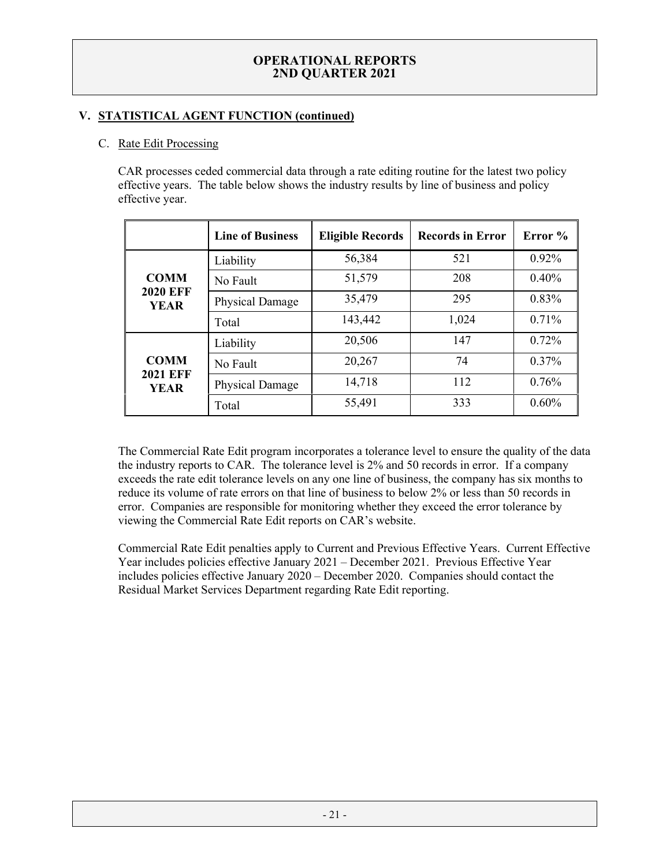# **V. STATISTICAL AGENT FUNCTION (continued)**

# C. Rate Edit Processing

CAR processes ceded commercial data through a rate editing routine for the latest two policy effective years. The table below shows the industry results by line of business and policy effective year.

|                                               | <b>Line of Business</b> | <b>Eligible Records</b> | <b>Records in Error</b> | Error %  |
|-----------------------------------------------|-------------------------|-------------------------|-------------------------|----------|
|                                               | Liability               | 56,384                  | 521                     | $0.92\%$ |
| <b>COMM</b>                                   | No Fault                | 51,579                  | 208                     | 0.40%    |
| <b>2020 EFF</b><br><b>YEAR</b>                | Physical Damage         | 35,479                  | 295                     | 0.83%    |
|                                               | Total                   | 143,442                 | 1,024                   | 0.71%    |
| <b>COMM</b><br><b>2021 EFF</b><br><b>YEAR</b> | Liability               | 20,506                  | 147                     | 0.72%    |
|                                               | No Fault                | 20,267                  | 74                      | $0.37\%$ |
|                                               | Physical Damage         | 14,718                  | 112                     | 0.76%    |
|                                               | Total                   | 55,491                  | 333                     | 0.60%    |

The Commercial Rate Edit program incorporates a tolerance level to ensure the quality of the data the industry reports to CAR. The tolerance level is 2% and 50 records in error. If a company exceeds the rate edit tolerance levels on any one line of business, the company has six months to reduce its volume of rate errors on that line of business to below 2% or less than 50 records in error. Companies are responsible for monitoring whether they exceed the error tolerance by viewing the Commercial Rate Edit reports on CAR's website.

Commercial Rate Edit penalties apply to Current and Previous Effective Years. Current Effective Year includes policies effective January 2021 – December 2021. Previous Effective Year includes policies effective January 2020 – December 2020. Companies should contact the Residual Market Services Department regarding Rate Edit reporting.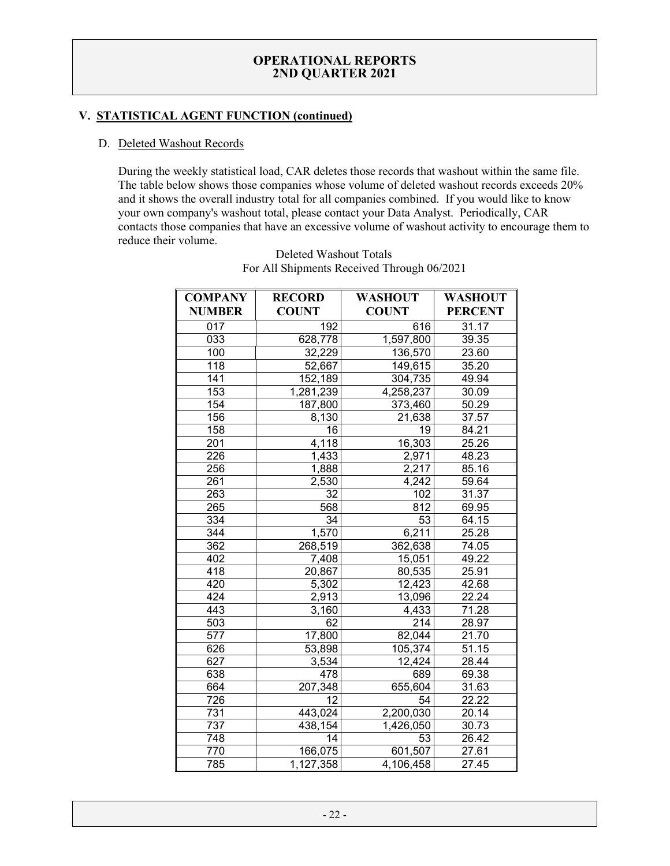# **V. STATISTICAL AGENT FUNCTION (continued)**

#### D. Deleted Washout Records

During the weekly statistical load, CAR deletes those records that washout within the same file. The table below shows those companies whose volume of deleted washout records exceeds 20% and it shows the overall industry total for all companies combined. If you would like to know your own company's washout total, please contact your Data Analyst. Periodically, CAR contacts those companies that have an excessive volume of washout activity to encourage them to reduce their volume.

| <b>COMPANY</b> | <b>RECORD</b> | <b>WASHOUT</b> | WASHOUT        |
|----------------|---------------|----------------|----------------|
| <b>NUMBER</b>  | <b>COUNT</b>  | <b>COUNT</b>   | <b>PERCENT</b> |
| 017            | 192           | 616            | 31.17          |
| 033            | 628,778       | 1,597,800      | 39.35          |
| 100            | 32,229        | 136,570        | 23.60          |
| 118            | 52,667        | 149,615        | 35.20          |
| 141            | 152,189       | 304,735        | 49.94          |
| 153            | 1,281,239     | 4,258,237      | 30.09          |
| 154            | 187,800       | 373,460        | 50.29          |
| 156            | 8,130         | 21,638         | 37.57          |
| 158            | 16            | 19             | 84.21          |
| 201            | 4,118         | 16,303         | 25.26          |
| 226            | 1,433         | 2,971          | 48.23          |
| 256            | 1,888         | 2,217          | 85.16          |
| 261            | 2,530         | 4,242          | 59.64          |
| 263            | 32            | 102            | 31.37          |
| 265            | 568           | 812            | 69.95          |
| 334            | 34            | 53             | 64.15          |
| 344            | 1,570         | 6,211          | 25.28          |
| 362            | 268,519       | 362,638        | 74.05          |
| 402            | 7,408         | 15,051         | 49.22          |
| 418            | 20,867        | 80,535         | 25.91          |
| 420            | 5,302         | 12,423         | 42.68          |
| 424            | 2,913         | 13,096         | 22.24          |
| 443            | 3,160         | 4,433          | 71.28          |
| 503            | 62            | 214            | 28.97          |
| 577            | 17,800        | 82,044         | 21.70          |
| 626            | 53,898        | 105,374        | 51.15          |
| 627            | 3,534         | 12,424         | 28.44          |
| 638            | 478           | 689            | 69.38          |
| 664            | 207,348       | 655,604        | 31.63          |
| 726            | 12            | 54             | 22.22          |
| 731            | 443,024       | 2,200,030      | 20.14          |
| 737            | 438,154       | 1,426,050      | 30.73          |
| 748            | 14            | 53             | 26.42          |
| 770            | 166,075       | 601,507        | 27.61          |
| 785            | 1,127,358     | 4,106,458      | 27.45          |

Deleted Washout Totals For All Shipments Received Through 06/2021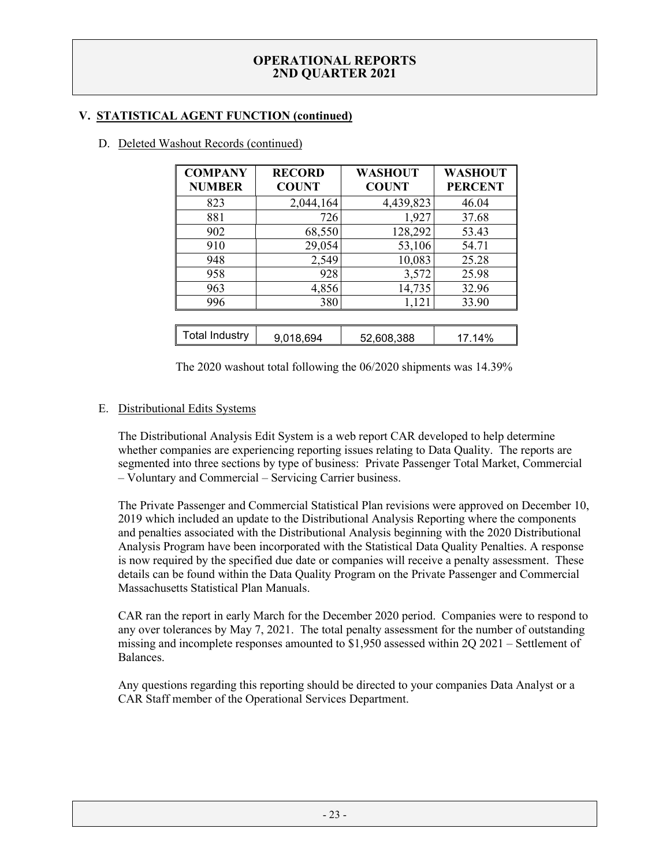# **V. STATISTICAL AGENT FUNCTION (continued)**

| <b>COMPANY</b><br><b>NUMBER</b> | <b>RECORD</b><br><b>COUNT</b> | <b>WASHOUT</b><br><b>COUNT</b> | <b>WASHOUT</b><br><b>PERCENT</b> |
|---------------------------------|-------------------------------|--------------------------------|----------------------------------|
| 823                             | 2,044,164                     | 4,439,823                      | 46.04                            |
| 881                             | 726                           | 1,927                          | 37.68                            |
| 902                             | 68,550                        | 128,292                        | 53.43                            |
| 910                             | 29,054                        | 53,106                         | 54.71                            |
| 948                             | 2,549                         | 10,083                         | 25.28                            |
| 958                             | 928                           | 3,572                          | 25.98                            |
| 963                             | 4,856                         | 14,735                         | 32.96                            |
| 996                             | 380                           | 1,121                          | 33.90                            |
|                                 |                               |                                |                                  |
| <b>Total Industry</b>           | 9,018,694                     | 52.608.388                     | 17.14%                           |

# D. Deleted Washout Records (continued)

The 2020 washout total following the 06/2020 shipments was 14.39%

# E. Distributional Edits Systems

The Distributional Analysis Edit System is a web report CAR developed to help determine whether companies are experiencing reporting issues relating to Data Quality. The reports are segmented into three sections by type of business: Private Passenger Total Market, Commercial – Voluntary and Commercial – Servicing Carrier business.

The Private Passenger and Commercial Statistical Plan revisions were approved on December 10, 2019 which included an update to the Distributional Analysis Reporting where the components and penalties associated with the Distributional Analysis beginning with the 2020 Distributional Analysis Program have been incorporated with the Statistical Data Quality Penalties. A response is now required by the specified due date or companies will receive a penalty assessment. These details can be found within the Data Quality Program on the Private Passenger and Commercial Massachusetts Statistical Plan Manuals.

CAR ran the report in early March for the December 2020 period. Companies were to respond to any over tolerances by May 7, 2021. The total penalty assessment for the number of outstanding missing and incomplete responses amounted to \$1,950 assessed within 2Q 2021 – Settlement of Balances.

Any questions regarding this reporting should be directed to your companies Data Analyst or a CAR Staff member of the Operational Services Department.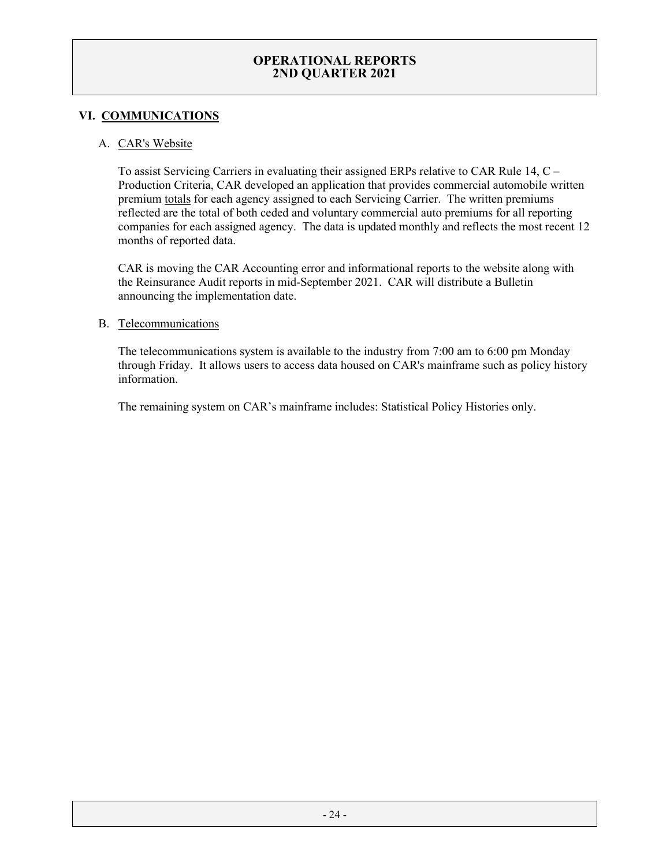# **VI. COMMUNICATIONS**

### A. CAR's Website

To assist Servicing Carriers in evaluating their assigned ERPs relative to CAR Rule 14, C – Production Criteria, CAR developed an application that provides commercial automobile written premium totals for each agency assigned to each Servicing Carrier. The written premiums reflected are the total of both ceded and voluntary commercial auto premiums for all reporting companies for each assigned agency. The data is updated monthly and reflects the most recent 12 months of reported data.

CAR is moving the CAR Accounting error and informational reports to the website along with the Reinsurance Audit reports in mid-September 2021. CAR will distribute a Bulletin announcing the implementation date.

#### B. Telecommunications

The telecommunications system is available to the industry from 7:00 am to 6:00 pm Monday through Friday. It allows users to access data housed on CAR's mainframe such as policy history information.

The remaining system on CAR's mainframe includes: Statistical Policy Histories only.